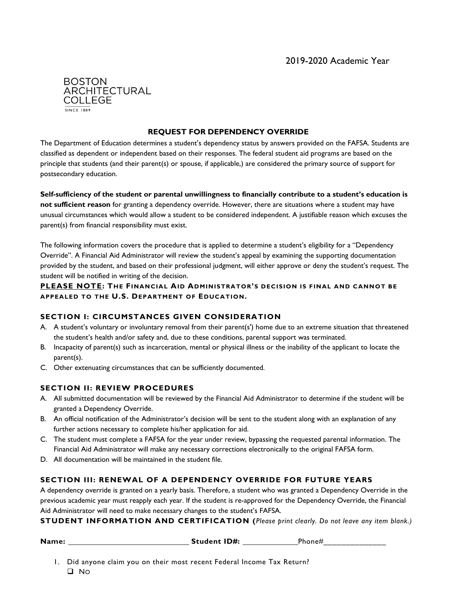

#### **REQUEST FOR DEPENDENCY OVERRIDE**

The Department of Education determines a student's dependency status by answers provided on the FAFSA. Students are classified as dependent or independent based on their responses. The federal student aid programs are based on the principle that students (and their parent(s) or spouse, if applicable,) are considered the primary source of support for postsecondary education.

**Self-sufficiency of the student or parental unwillingness to financially contribute to a student's education is not sufficient reason** for granting a dependency override. However, there are situations where a student may have unusual circumstances which would allow a student to be considered independent. A justifiable reason which excuses the parent(s) from financial responsibility must exist.

The following information covers the procedure that is applied to determine a student's eligibility for a "Dependency Override". A Financial Aid Administrator will review the student's appeal by examining the supporting documentation provided by the student, and based on their professional judgment, will either approve or deny the student's request. The student will be notified in writing of the decision.

**PLEASE NOTE: THE FINANCIAL AID ADMINISTRATOR'S DECISION IS FINAL AND CANNOT BE APPEALED TO THE U.S. DEPARTMENT OF EDUCATION.**

#### **SECTION I: CIRCUMSTANCES GIVEN CONSIDERATION**

- A. A student's voluntary or involuntary removal from their parent(s') home due to an extreme situation that threatened the student's health and/or safety and, due to these conditions, parental support was terminated.
- B. Incapacity of parent(s) such as incarceration, mental or physical illness or the inability of the applicant to locate the parent(s).
- C. Other extenuating circumstances that can be sufficiently documented.

## **SECTION II: REVIEW PROCEDURES**

- A. All submitted documentation will be reviewed by the Financial Aid Administrator to determine if the student will be granted a Dependency Override.
- B. An official notification of the Administrator's decision will be sent to the student along with an explanation of any further actions necessary to complete his/her application for aid.
- C. The student must complete a FAFSA for the year under review, bypassing the requested parental information. The Financial Aid Administrator will make any necessary corrections electronically to the original FAFSA form.
- D. All documentation will be maintained in the student file.

## **SECTION III: RENEWAL OF A DEPENDENCY OVERRIDE FOR FUTURE YEARS**

A dependency override is granted on a yearly basis. Therefore, a student who was granted a Dependency Override in the previous academic year must reapply each year. If the student is re-approved for the Dependency Override, the Financial Aid Administrator will need to make necessary changes to the student's FAFSA.

**STUDENT INFORMATION AND CERTIFICATION (***Please print clearly. Do not leave any item blank.)*

| Name:<br><b>Student ID#:</b> | Phone∌ | ____ |
|------------------------------|--------|------|
|------------------------------|--------|------|

1. Did anyone claim you on their most recent Federal Income Tax Return?  $\square$  No